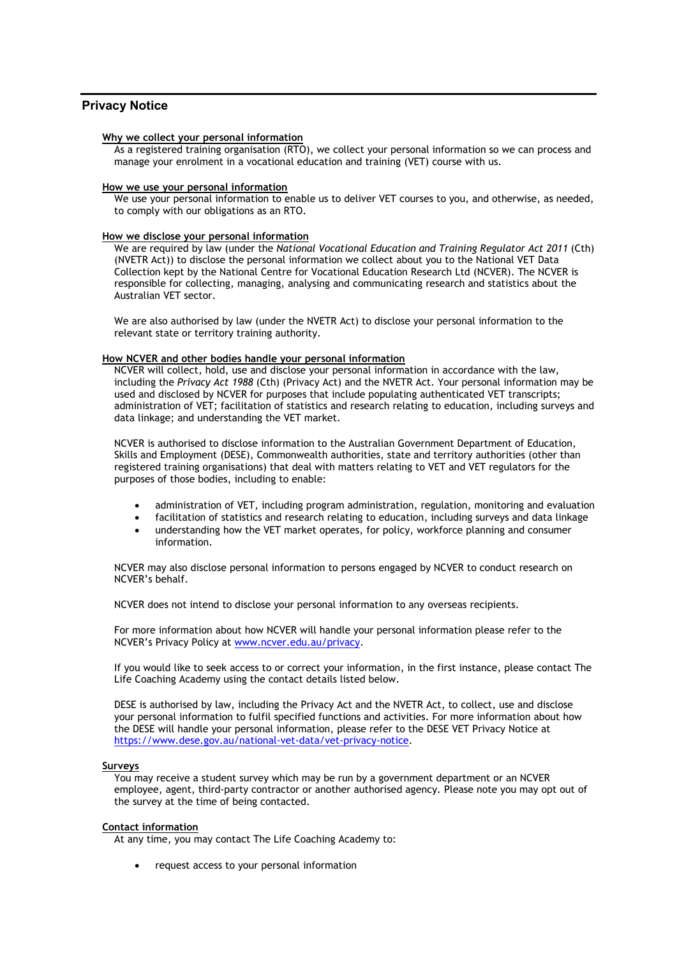# **Privacy Notice**

#### **Why we collect your personal information**

As a registered training organisation (RTO), we collect your personal information so we can process and manage your enrolment in a vocational education and training (VET) course with us.

#### **How we use your personal information**

We use your personal information to enable us to deliver VET courses to you, and otherwise, as needed, to comply with our obligations as an RTO.

### **How we disclose your personal information**

We are required by law (under the *National Vocational Education and Training Regulator Act 2011* (Cth) (NVETR Act)) to disclose the personal information we collect about you to the National VET Data Collection kept by the National Centre for Vocational Education Research Ltd (NCVER). The NCVER is responsible for collecting, managing, analysing and communicating research and statistics about the Australian VET sector.

We are also authorised by law (under the NVETR Act) to disclose your personal information to the relevant state or territory training authority.

#### **How NCVER and other bodies handle your personal information**

NCVER will collect, hold, use and disclose your personal information in accordance with the law, including the *Privacy Act 1988* (Cth) (Privacy Act) and the NVETR Act. Your personal information may be used and disclosed by NCVER for purposes that include populating authenticated VET transcripts; administration of VET; facilitation of statistics and research relating to education, including surveys and data linkage; and understanding the VET market.

NCVER is authorised to disclose information to the Australian Government Department of Education, Skills and Employment (DESE), Commonwealth authorities, state and territory authorities (other than registered training organisations) that deal with matters relating to VET and VET regulators for the purposes of those bodies, including to enable:

- administration of VET, including program administration, regulation, monitoring and evaluation
- facilitation of statistics and research relating to education, including surveys and data linkage
- understanding how the VET market operates, for policy, workforce planning and consumer information.

NCVER may also disclose personal information to persons engaged by NCVER to conduct research on NCVER's behalf.

NCVER does not intend to disclose your personal information to any overseas recipients.

For more information about how NCVER will handle your personal information please refer to the NCVER's Privacy Policy at [www.ncver.edu.au/privacy.](http://www.ncver.edu.au/privacy)

If you would like to seek access to or correct your information, in the first instance, please contact The Life Coaching Academy using the contact details listed below.

DESE is authorised by law, including the Privacy Act and the NVETR Act, to collect, use and disclose your personal information to fulfil specified functions and activities. For more information about how the DESE will handle your personal information, please refer to the DESE VET Privacy Notice at [https://www.dese.gov.au/national-vet-data/vet-privacy-notice.](https://www.dese.gov.au/national-vet-data/vet-privacy-notice)

## **Surveys**

You may receive a student survey which may be run by a government department or an NCVER employee, agent, third-party contractor or another authorised agency. Please note you may opt out of the survey at the time of being contacted.

### **Contact information**

At any time, you may contact The Life Coaching Academy to:

• request access to your personal information